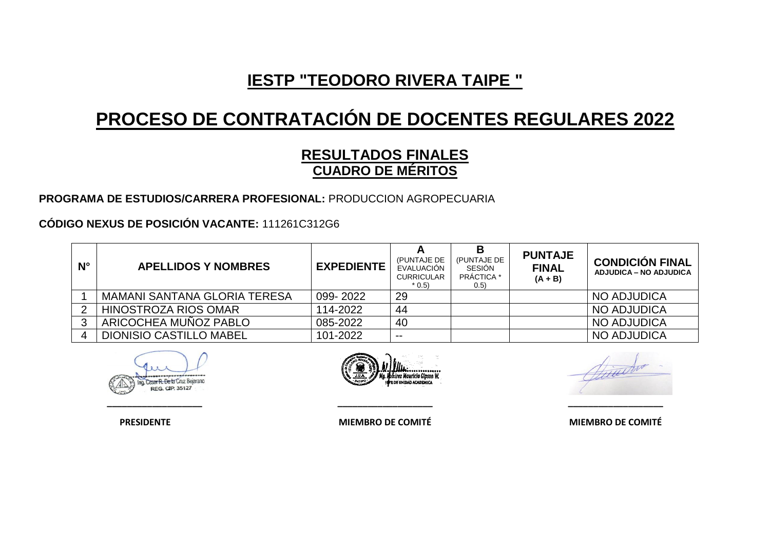# **PROCESO DE CONTRATACIÓN DE DOCENTES REGULARES 2022**

### **RESULTADOS FINALES CUADRO DE MÉRITOS**

#### **PROGRAMA DE ESTUDIOS/CARRERA PROFESIONAL:** PRODUCCION AGROPECUARIA

#### **CÓDIGO NEXUS DE POSICIÓN VACANTE:** 111261C312G6

| $N^{\circ}$ | <b>APELLIDOS Y NOMBRES</b>          | <b>EXPEDIENTE</b> | (PUNTAJE DE<br>EVALUACIÓN<br><b>CURRICULAR</b><br>$*$ 0.5) | В<br>(PUNTAJE DE<br>SESIÓN<br><b>PRÁCTICA</b> *<br>(0.5) | <b>PUNTAJE</b><br><b>FINAL</b><br>$(A + B)$ | <b>CONDICIÓN FINAL</b><br><b>ADJUDICA – NO ADJUDICA</b> |
|-------------|-------------------------------------|-------------------|------------------------------------------------------------|----------------------------------------------------------|---------------------------------------------|---------------------------------------------------------|
|             | <b>MAMANI SANTANA GLORIA TERESA</b> | 099-2022          | 29                                                         |                                                          |                                             | NO ADJUDICA                                             |
|             | <b>HINOSTROZA RIOS OMAR</b>         | 114-2022          | 44                                                         |                                                          |                                             | <b>NO ADJUDICA</b>                                      |
|             | ARICOCHEA MUÑOZ PABLO               | 085-2022          | 40                                                         |                                                          |                                             | <b>NO ADJUDICA</b>                                      |
|             | <b>DIONISIO CASTILLO MABEL</b>      | 101-2022          | $- -$                                                      |                                                          |                                             | <b>NO ADJUDICA</b>                                      |





**\_\_\_\_\_\_\_\_\_\_\_\_\_\_\_\_\_\_\_ \_\_\_\_\_\_\_\_\_\_\_\_\_\_\_\_\_\_\_ \_\_\_\_\_\_\_\_\_\_\_\_\_\_\_\_\_\_\_**

 **PRESIDENTE MIEMBRO DE COMITÉ MIEMBRO DE COMITÉ**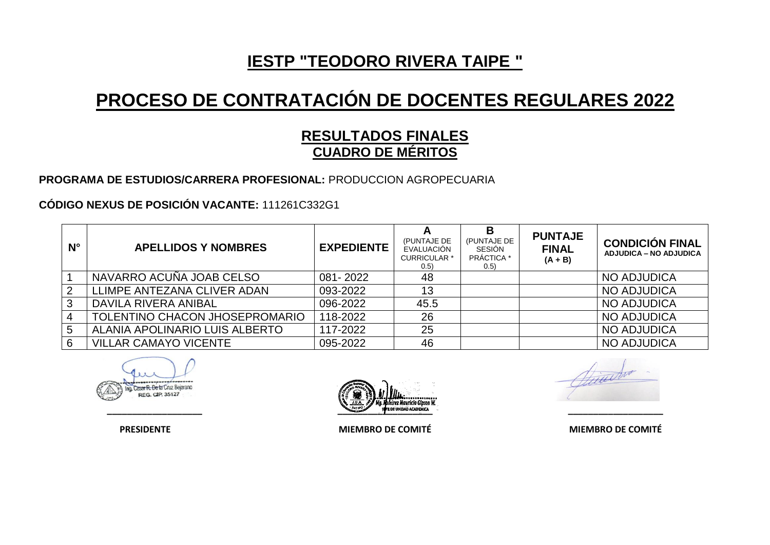# **PROCESO DE CONTRATACIÓN DE DOCENTES REGULARES 2022**

### **RESULTADOS FINALES CUADRO DE MÉRITOS**

**PROGRAMA DE ESTUDIOS/CARRERA PROFESIONAL:** PRODUCCION AGROPECUARIA

**CÓDIGO NEXUS DE POSICIÓN VACANTE:** 111261C332G1

| $N^{\circ}$    | <b>APELLIDOS Y NOMBRES</b>     | <b>EXPEDIENTE</b> | A<br>(PUNTAJE DE<br>EVALUACIÓN<br><b>CURRICULAR *</b><br>(0.5) | B<br>(PUNTAJE DE<br>SESIÓN<br><b>PRÁCTICA</b> *<br>0.5) | <b>PUNTAJE</b><br><b>FINAL</b><br>$(A + B)$ | <b>CONDICIÓN FINAL</b><br><b>ADJUDICA – NO ADJUDICA</b> |
|----------------|--------------------------------|-------------------|----------------------------------------------------------------|---------------------------------------------------------|---------------------------------------------|---------------------------------------------------------|
|                | NAVARRO ACUÑA JOAB CELSO       | 081-2022          | 48                                                             |                                                         |                                             | <b>NO ADJUDICA</b>                                      |
| $\overline{2}$ | LLIMPE ANTEZANA CLIVER ADAN    | 093-2022          | 13                                                             |                                                         |                                             | <b>NO ADJUDICA</b>                                      |
| 3              | DAVILA RIVERA ANIBAL           | 096-2022          | 45.5                                                           |                                                         |                                             | <b>NO ADJUDICA</b>                                      |
|                | TOLENTINO CHACON JHOSEPROMARIO | 118-2022          | 26                                                             |                                                         |                                             | <b>NO ADJUDICA</b>                                      |
| 5              | ALANIA APOLINARIO LUIS ALBERTO | 117-2022          | 25                                                             |                                                         |                                             | NO ADJUDICA                                             |
| 6              | <b>VILLAR CAMAYO VICENTE</b>   | 095-2022          | 46                                                             |                                                         |                                             | NO ADJUDICA                                             |

Cesar R. De la Cruz Bejarano REG. CIP. 35127



 **PRESIDENTE MIEMBRO DE COMITÉ MIEMBRO DE COMITÉ**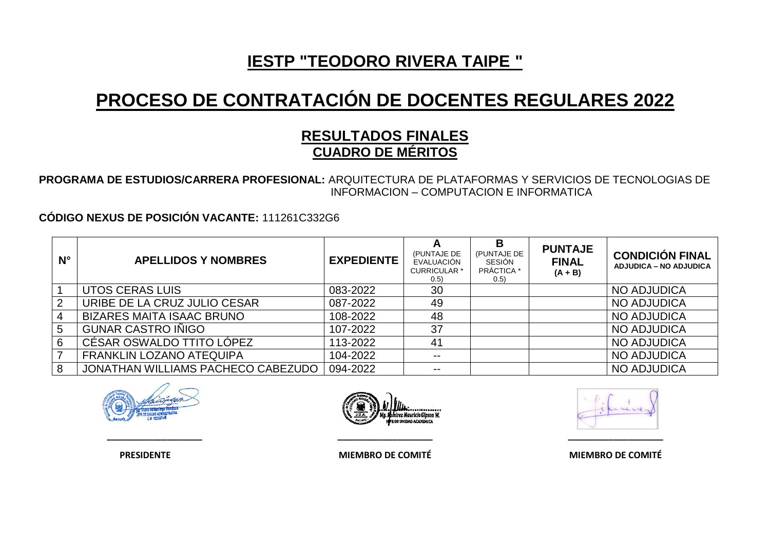# **PROCESO DE CONTRATACIÓN DE DOCENTES REGULARES 2022**

### **RESULTADOS FINALES CUADRO DE MÉRITOS**

**PROGRAMA DE ESTUDIOS/CARRERA PROFESIONAL:** ARQUITECTURA DE PLATAFORMAS Y SERVICIOS DE TECNOLOGIAS DE INFORMACION – COMPUTACION E INFORMATICA

**CÓDIGO NEXUS DE POSICIÓN VACANTE:** 111261C332G6

| $N^{\circ}$ | <b>APELLIDOS Y NOMBRES</b>         | <b>EXPEDIENTE</b> | (PUNTAJE DE<br>EVALUACIÓN<br><b>CURRICULAR *</b><br>0.5) | B<br>(PUNTAJE DE<br>SESIÓN<br>PRÁCTICA *<br>(0.5) | <b>PUNTAJE</b><br><b>FINAL</b><br>$(A + B)$ | <b>CONDICIÓN FINAL</b><br><b>ADJUDICA – NO ADJUDICA</b> |
|-------------|------------------------------------|-------------------|----------------------------------------------------------|---------------------------------------------------|---------------------------------------------|---------------------------------------------------------|
|             | UTOS CERAS LUIS                    | 083-2022          | 30                                                       |                                                   |                                             | <b>NO ADJUDICA</b>                                      |
| 2           | URIBE DE LA CRUZ JULIO CESAR       | 087-2022          | 49                                                       |                                                   |                                             | <b>NO ADJUDICA</b>                                      |
|             | <b>BIZARES MAITA ISAAC BRUNO</b>   | 108-2022          | 48                                                       |                                                   |                                             | <b>NO ADJUDICA</b>                                      |
| 5           | <b>GUNAR CASTRO IÑIGO</b>          | 107-2022          | 37                                                       |                                                   |                                             | <b>NO ADJUDICA</b>                                      |
| 6           | CÉSAR OSWALDO TTITO LÓPEZ          | 113-2022          | 41                                                       |                                                   |                                             | NO ADJUDICA                                             |
|             | <b>FRANKLIN LOZANO ATEQUIPA</b>    | 104-2022          | $- -$                                                    |                                                   |                                             | <b>NO ADJUDICA</b>                                      |
|             | JONATHAN WILLIAMS PACHECO CABEZUDO | 094-2022          | $\overline{\phantom{m}}$                                 |                                                   |                                             | NO ADJUDICA                                             |



 **PRESIDENTE MIEMBRO DE COMITÉ MIEMBRO DE COMITÉ**

**\_\_\_\_\_\_\_\_\_\_\_\_\_\_\_\_\_\_\_ \_\_\_\_\_\_\_\_\_\_\_\_\_\_\_\_\_\_\_ \_\_\_\_\_\_\_\_\_\_\_\_\_\_\_\_\_\_\_**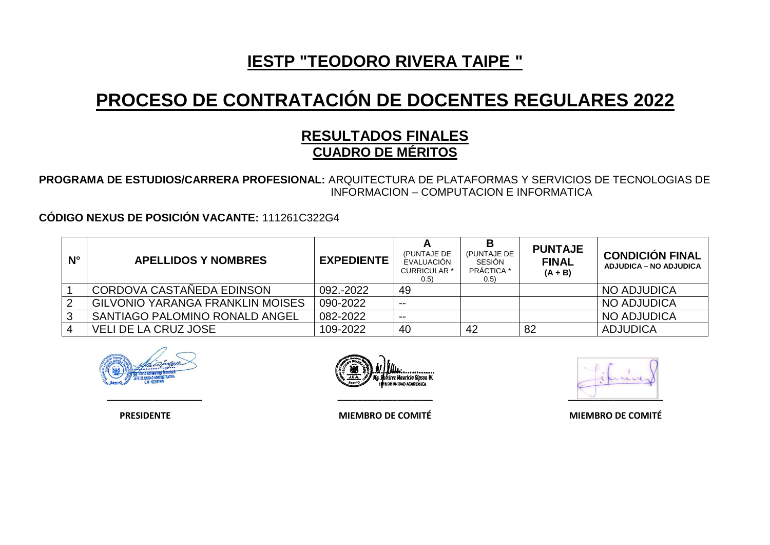## **PROCESO DE CONTRATACIÓN DE DOCENTES REGULARES 2022**

### **RESULTADOS FINALES CUADRO DE MÉRITOS**

**PROGRAMA DE ESTUDIOS/CARRERA PROFESIONAL:** ARQUITECTURA DE PLATAFORMAS Y SERVICIOS DE TECNOLOGIAS DE INFORMACION – COMPUTACION E INFORMATICA

**CÓDIGO NEXUS DE POSICIÓN VACANTE:** 111261C322G4

| $N^{\circ}$ | <b>APELLIDOS Y NOMBRES</b>       | <b>EXPEDIENTE</b> | (PUNTAJE DE<br>EVALUACIÓN<br><b>CURRICULAR *</b><br>(0.5) | В<br>(PUNTAJE DE<br>SESIÓN<br>PRÁCTICA *<br>(0.5) | <b>PUNTAJE</b><br><b>FINAL</b><br>$(A + B)$ | <b>CONDICIÓN FINAL</b><br><b>ADJUDICA – NO ADJUDICA</b> |
|-------------|----------------------------------|-------------------|-----------------------------------------------------------|---------------------------------------------------|---------------------------------------------|---------------------------------------------------------|
|             | CORDOVA CASTAÑEDA EDINSON        | 092.-2022         | -49                                                       |                                                   |                                             | NO ADJUDICA                                             |
|             | GILVONIO YARANGA FRANKLIN MOISES | 090-2022          | $- -$                                                     |                                                   |                                             | NO ADJUDICA                                             |
|             | SANTIAGO PALOMINO RONALD ANGEL   | 082-2022          | $- -$                                                     |                                                   |                                             | NO ADJUDICA                                             |
|             | <b>VELI DE LA CRUZ JOSE</b>      | 109-2022          | 40                                                        | 42                                                | 82                                          | <b>ADJUDICA</b>                                         |





**\_\_\_\_\_\_\_\_\_\_\_\_\_\_\_\_\_\_\_ \_\_\_\_\_\_\_\_\_\_\_\_\_\_\_\_\_\_\_ \_\_\_\_\_\_\_\_\_\_\_\_\_\_\_\_\_\_\_**

 **PRESIDENTE MIEMBRO DE COMITÉ MIEMBRO DE COMITÉ**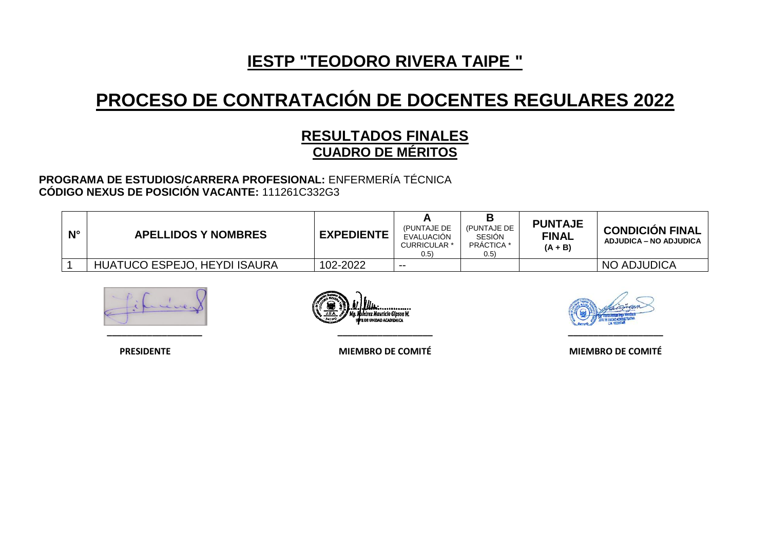# **PROCESO DE CONTRATACIÓN DE DOCENTES REGULARES 2022**

### **RESULTADOS FINALES CUADRO DE MÉRITOS**

#### **PROGRAMA DE ESTUDIOS/CARRERA PROFESIONAL:** ENFERMERÍA TÉCNICA **CÓDIGO NEXUS DE POSICIÓN VACANTE:** 111261C332G3

| $N^{\circ}$ | <b>APELLIDOS Y NOMBRES</b>   | <b>EXPEDIENTE</b> | (PUNTAJE DE<br>EVALUACIÓN<br>CURRICULAR <sup>*</sup><br>(0.5) | (PUNTAJE DE<br><b>SESION</b><br>PRACTICA<br>(0.5) | <b>PUNTAJE</b><br><b>FINAL</b><br>$(A + B)$ | <b>CONDICIÓN FINAL</b><br>ADJUDICA – NO ADJUDICA |
|-------------|------------------------------|-------------------|---------------------------------------------------------------|---------------------------------------------------|---------------------------------------------|--------------------------------------------------|
|             | HUATUCO ESPEJO, HEYDI ISAURA | 102-2022          | $- -$                                                         |                                                   |                                             | NO ADJUDICA                                      |



**\_\_\_\_\_\_\_\_\_\_\_\_\_\_\_\_\_\_\_ \_\_\_\_\_\_\_\_\_\_\_\_\_\_\_\_\_\_\_ \_\_\_\_\_\_\_\_\_\_\_\_\_\_\_\_\_\_\_**

 **PRESIDENTE MIEMBRO DE COMITÉ MIEMBRO DE COMITÉ**

............. irez Mauricio Gloson W. **B DE UNIDAD ACADEMICA**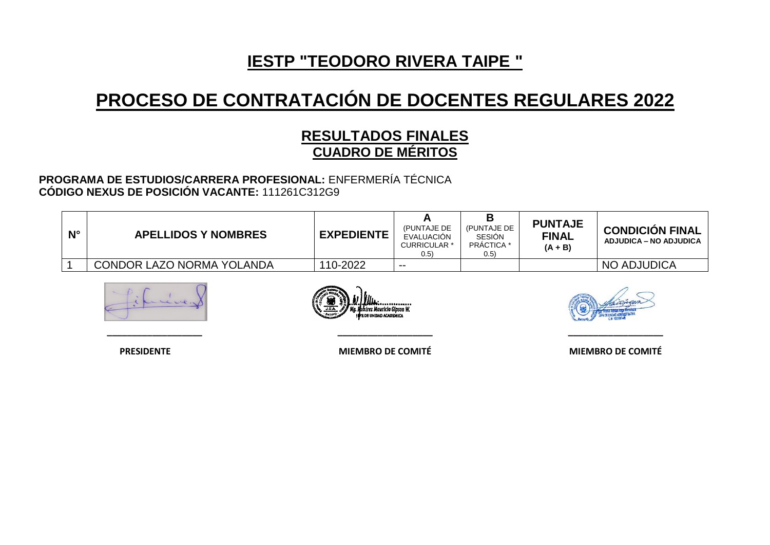# **PROCESO DE CONTRATACIÓN DE DOCENTES REGULARES 2022**

### **RESULTADOS FINALES CUADRO DE MÉRITOS**

#### **PROGRAMA DE ESTUDIOS/CARRERA PROFESIONAL:** ENFERMERÍA TÉCNICA **CÓDIGO NEXUS DE POSICIÓN VACANTE:** 111261C312G9

| $N^{\circ}$ | <b>APELLIDOS Y NOMBRES</b> | <b>EXPEDIENTE</b> | (PUNTAJE DE<br>EVALUACIÓN<br><b>CURRICULAR *</b><br>0.5) | (PUNTAJE DE<br><b>SESION</b><br><b>PRÁCTICA *</b><br>(0.5) | <b>PUNTAJE</b><br><b>FINAL</b><br>$(A + B)$ | <b>CONDICIÓN FINAL</b><br>ADJUDICA – NO ADJUDICA |
|-------------|----------------------------|-------------------|----------------------------------------------------------|------------------------------------------------------------|---------------------------------------------|--------------------------------------------------|
|             | CONDOR LAZO NORMA YOLANDA  | 110-2022          | $- -$                                                    |                                                            |                                             | <b>NO ADJUDICA</b>                               |







 **PRESIDENTE MIEMBRO DE COMITÉ MIEMBRO DE COMITÉ**

**\_\_\_\_\_\_\_\_\_\_\_\_\_\_\_\_\_\_\_ \_\_\_\_\_\_\_\_\_\_\_\_\_\_\_\_\_\_\_ \_\_\_\_\_\_\_\_\_\_\_\_\_\_\_\_\_\_\_**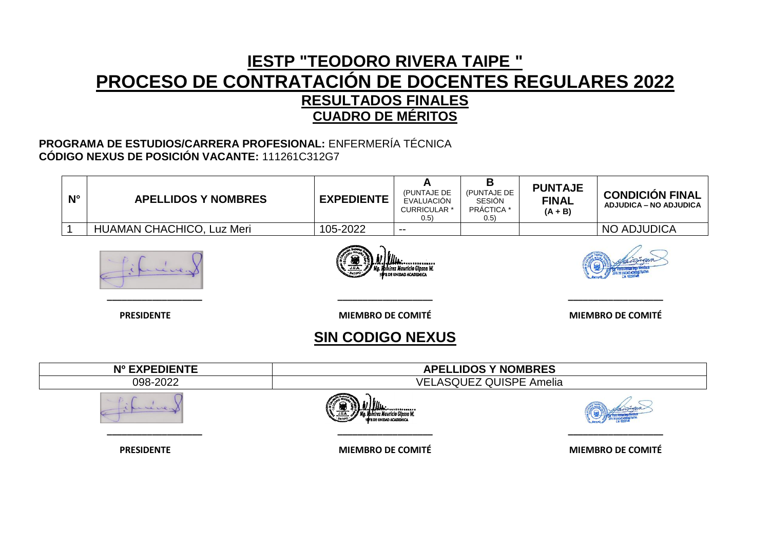### **IESTP "TEODORO RIVERA TAIPE " PROCESO DE CONTRATACIÓN DE DOCENTES REGULARES 2022 RESULTADOS FINALES CUADRO DE MÉRITOS**

#### **PROGRAMA DE ESTUDIOS/CARRERA PROFESIONAL:** ENFERMERÍA TÉCNICA **CÓDIGO NEXUS DE POSICIÓN VACANTE:** 111261C312G7

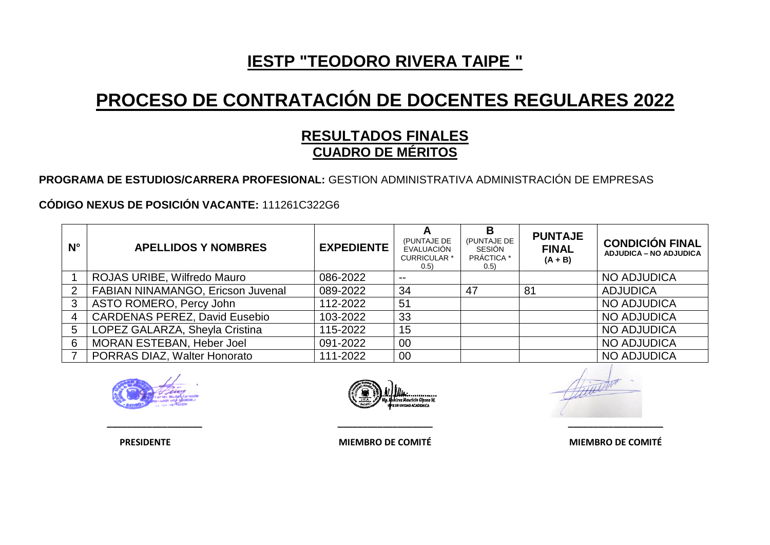# **PROCESO DE CONTRATACIÓN DE DOCENTES REGULARES 2022**

### **RESULTADOS FINALES CUADRO DE MÉRITOS**

**PROGRAMA DE ESTUDIOS/CARRERA PROFESIONAL:** GESTION ADMINISTRATIVA ADMINISTRACIÓN DE EMPRESAS

**CÓDIGO NEXUS DE POSICIÓN VACANTE:** 111261C322G6

| $N^{\circ}$ | <b>APELLIDOS Y NOMBRES</b>           | <b>EXPEDIENTE</b> | A<br>(PUNTAJE DE<br>EVALUACIÓN<br><b>CURRICULAR *</b><br>(0.5) | B<br>(PUNTAJE DE<br>SESIÓN<br>PRÁCTICA *<br>(0.5) | <b>PUNTAJE</b><br><b>FINAL</b><br>$(A + B)$ | <b>CONDICIÓN FINAL</b><br><b>ADJUDICA – NO ADJUDICA</b> |
|-------------|--------------------------------------|-------------------|----------------------------------------------------------------|---------------------------------------------------|---------------------------------------------|---------------------------------------------------------|
|             | ROJAS URIBE, Wilfredo Mauro          | 086-2022          | $- -$                                                          |                                                   |                                             | NO ADJUDICA                                             |
|             | FABIAN NINAMANGO, Ericson Juvenal    | 089-2022          | 34                                                             | 47                                                | 81                                          | <b>ADJUDICA</b>                                         |
| 3           | ASTO ROMERO, Percy John              | 112-2022          | 51                                                             |                                                   |                                             | <b>NO ADJUDICA</b>                                      |
|             | <b>CARDENAS PEREZ, David Eusebio</b> | 103-2022          | 33                                                             |                                                   |                                             | <b>NO ADJUDICA</b>                                      |
| 5           | LOPEZ GALARZA, Sheyla Cristina       | 115-2022          | 15                                                             |                                                   |                                             | <b>NO ADJUDICA</b>                                      |
| 6           | MORAN ESTEBAN, Heber Joel            | 091-2022          | 00                                                             |                                                   |                                             | <b>NO ADJUDICA</b>                                      |
|             | PORRAS DIAZ, Walter Honorato         | 111-2022          | $00\,$                                                         |                                                   |                                             | <b>NO ADJUDICA</b>                                      |





**\_\_\_\_\_\_\_\_\_\_\_\_\_\_\_\_\_\_\_ \_\_\_\_\_\_\_\_\_\_\_\_\_\_\_\_\_\_\_ \_\_\_\_\_\_\_\_\_\_\_\_\_\_\_\_\_\_\_**

 **PRESIDENTE MIEMBRO DE COMITÉ MIEMBRO DE COMITÉ**